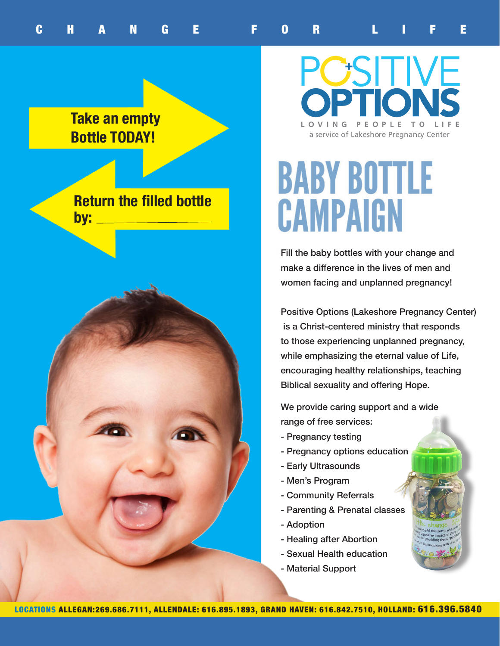## **Take an empty Bottle TODAY!**

**Return the filled bottle by:**



**POSITIVE** LOVING PEOPLE TO LIF a service of Lakeshore Pregnancy Center

# **BABY BOTTLE** CAMPAIGN

Fill the baby bottles with your change and make a difference in the lives of men and women facing and unplanned pregnancy!

Positive Options (Lakeshore Pregnancy Center) is a Christ-centered ministry that responds to those experiencing unplanned pregnancy, while emphasizing the eternal value of Life, encouraging healthy relationships, teaching Biblical sexuality and offering Hope.

We provide caring support and a wide range of free services:

- Pregnancy testing
- Pregnancy options education
- Early Ultrasounds
- Men's Program
- Community Referrals
- Parenting & Prenatal classes
- Adoption
- Healing after Abortion
- Sexual Health education
- Material Support